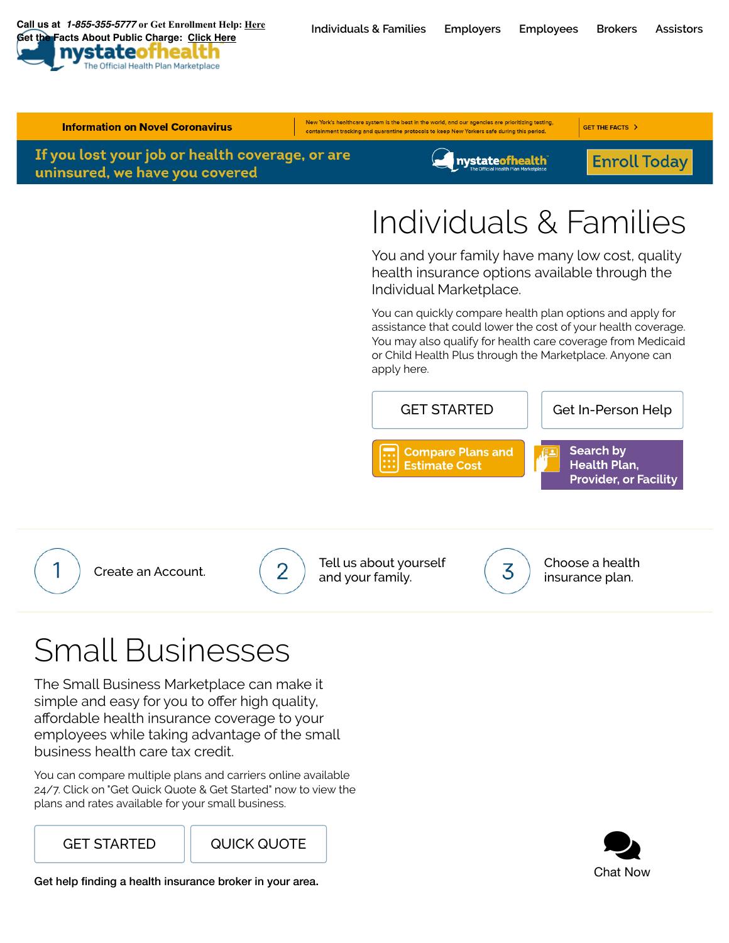**[Individuals](https://nystateofhealth.ny.gov/individual) & Families [Employers](https://nystateofhealth.ny.gov/employer) [Employees](https://nystateofhealth.ny.gov/individual/employee_landing) [Brokers](https://nystateofhealth.ny.gov/agent) [Assistors](https://nystateofhealth.ny.gov/agent/assistors) Call us at**  *[1-855-355-5777](tel:1-855-355-5777)* **or Get Enrollment Help: [Here](https://nystateofhealth.ny.gov/agent/hx_brokerSearch?fromPage=INDIVIDUAL&lang=en)  Facts About Public Charge: [Click Here](https://info.nystateofhealth.ny.gov/publiccharge)** 





 $\bullet$ Chat Now

GET [STARTED](https://nystateofhealth.ny.gov/employer) | QUICK [QUOTE](https://nystateofhealth.ny.gov/employer#formInstantQuotes)

plans and rates available for your small business.

You can compare multiple plans and carriers online available 24/7. Click on "Get Quick Quote & Get Started" now to view the

business health care tax credit.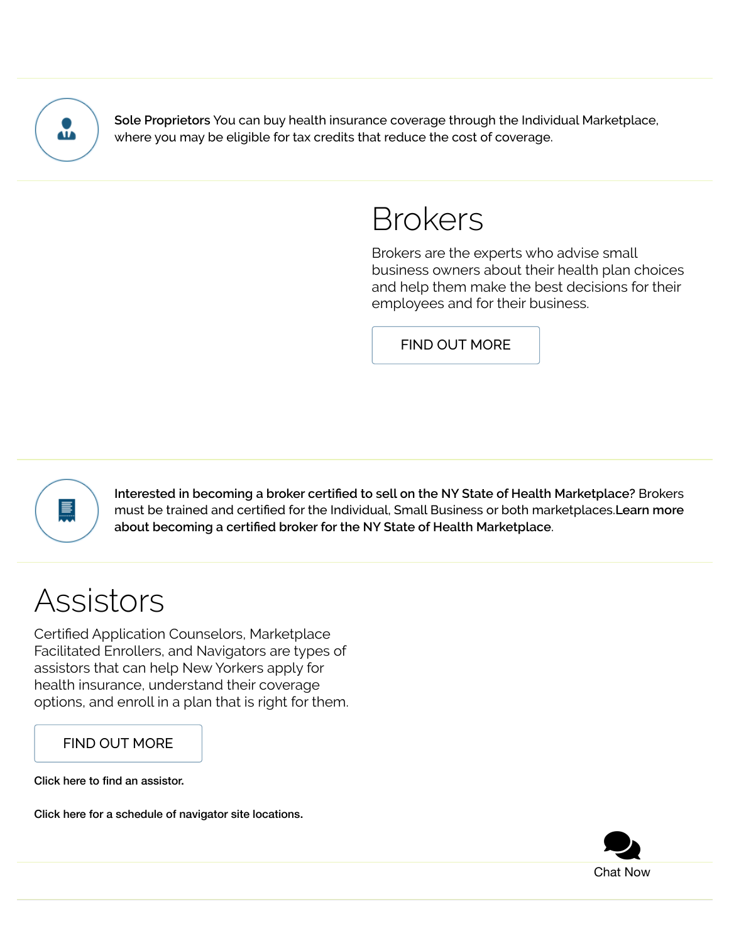

**Sole Proprietors** You can buy health insurance coverage through the Individual Marketplace, where you may be eligible for tax credits that reduce the cost of coverage.

## Brokers

Brokers are the experts who advise small business owners about their health plan choices and help them make the best decisions for their employees and for their business.

FIND OUT [MORE](https://nystateofhealth.ny.gov/agent)



**Interested in becoming a broker certied to sell on the NY State of Health Marketplace?** Brokers must be trained and certified for the Individual, Small Business or both [marketplaces.](https://nystateofhealth.ny.gov/agent) Learn more **about becoming a certied broker for the NY State of Health Marketplace**.

# Assistors

Certified Application Counselors, Marketplace Facilitated Enrollers, and Navigators are types of assistors that can help New Yorkers apply for health insurance, understand their coverage options, and enroll in a plan that is right for them.

#### FIND OUT [MORE](https://nystateofhealth.ny.gov/agent/assistors)

Click here to find an [assistor.](https://nystateofhealth.ny.gov/agent/hx_brokerSearch?fromPage=INDIVIDUAL&lang=en)

Click here for a schedule of navigator site [locations.](http://info.nystateofhealth.ny.gov/IPANavigatorSiteLocations)